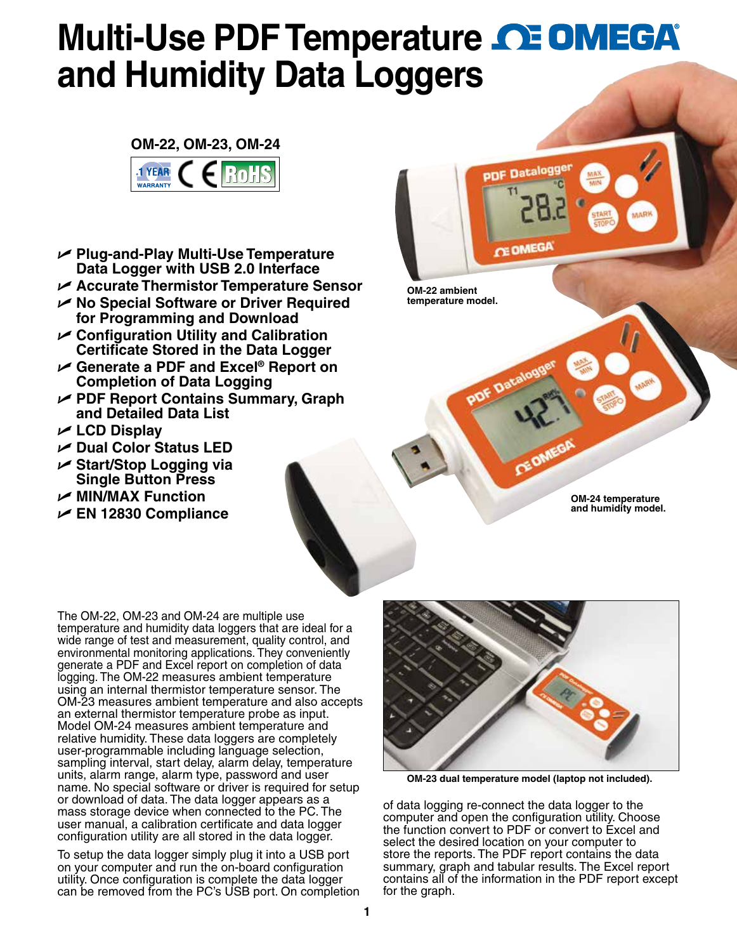## **Multi-Use PDF Temperature CE OMEGA and Humidity Data Loggers**



- U **Plug-and-Play Multi-Use Temperature Data Logger with USB 2.0 Interface**
- U **Accurate Thermistor Temperature Sensor**
- U **No Special Software or Driver Required for Programming and Download**
- U **Configuration Utility and Calibration Certificate Stored in the Data Logger**
- U **Generate a PDF and Excel® Report on Completion of Data Logging**
- U **PDF Report Contains Summary, Graph and Detailed Data List**
- U **LCD Display**
- U **Dual Color Status LED**
- U **Start/Stop Logging via Single Button Press**
- U **MIN/MAX Function**
- U **EN 12830 Compliance**

**OM-22 ambient temperature model.**

**PDF Dat** 

**Datalo** 

CE OMEGI

**OM-24 temperature and humidity model.**

The OM-22, OM-23 and OM-24 are multiple use temperature and humidity data loggers that are ideal for a wide range of test and measurement, quality control, and environmental monitoring applications. They conveniently generate a PDF and Excel report on completion of data logging. The OM-22 measures ambient temperature using an internal thermistor temperature sensor. The OM-23 measures ambient temperature and also accepts an external thermistor temperature probe as input. Model OM-24 measures ambient temperature and relative humidity. These data loggers are completely user-programmable including language selection, sampling interval, start delay, alarm delay, temperature units, alarm range, alarm type, password and user name. No special software or driver is required for setup or download of data. The data logger appears as a mass storage device when connected to the PC. The user manual, a calibration certificate and data logger configuration utility are all stored in the data logger.

To setup the data logger simply plug it into a USB port on your computer and run the on-board configuration utility. Once configuration is complete the data logger can be removed from the PC's USB port. On completion



**OM-23 dual temperature model (laptop not included).**

of data logging re-connect the data logger to the computer and open the configuration utility. Choose the function convert to PDF or convert to Excel and select the desired location on your computer to store the reports. The PDF report contains the data summary, graph and tabular results. The Excel report contains all of the information in the PDF report except for the graph.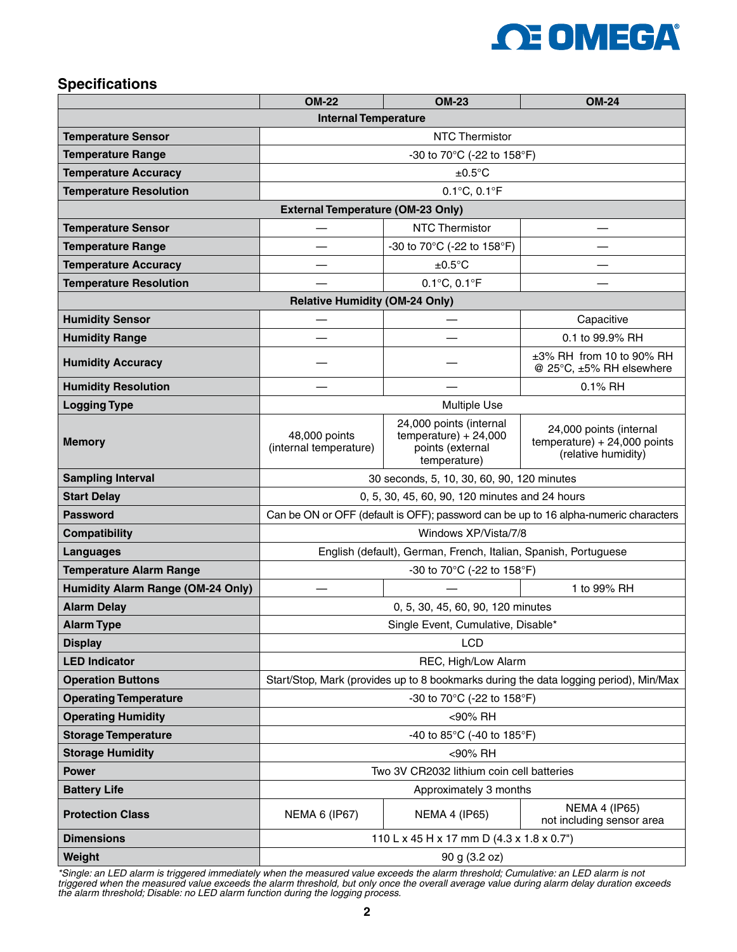

## **Specifications**

|                                          | <b>OM-22</b>                                                                          | <b>OM-23</b>                                                                           | <b>OM-24</b>                                                                     |  |  |  |  |  |  |
|------------------------------------------|---------------------------------------------------------------------------------------|----------------------------------------------------------------------------------------|----------------------------------------------------------------------------------|--|--|--|--|--|--|
| <b>Internal Temperature</b>              |                                                                                       |                                                                                        |                                                                                  |  |  |  |  |  |  |
| <b>Temperature Sensor</b>                | <b>NTC Thermistor</b>                                                                 |                                                                                        |                                                                                  |  |  |  |  |  |  |
| <b>Temperature Range</b>                 | -30 to 70°C (-22 to 158°F)                                                            |                                                                                        |                                                                                  |  |  |  |  |  |  |
| <b>Temperature Accuracy</b>              | $±0.5^{\circ}C$                                                                       |                                                                                        |                                                                                  |  |  |  |  |  |  |
| <b>Temperature Resolution</b>            | $0.1^{\circ}$ C, $0.1^{\circ}$ F                                                      |                                                                                        |                                                                                  |  |  |  |  |  |  |
| <b>External Temperature (OM-23 Only)</b> |                                                                                       |                                                                                        |                                                                                  |  |  |  |  |  |  |
| <b>Temperature Sensor</b>                | <b>NTC Thermistor</b>                                                                 |                                                                                        |                                                                                  |  |  |  |  |  |  |
| <b>Temperature Range</b>                 | -30 to 70°C (-22 to 158°F)                                                            |                                                                                        |                                                                                  |  |  |  |  |  |  |
| <b>Temperature Accuracy</b>              | $\pm 0.5$ °C                                                                          |                                                                                        |                                                                                  |  |  |  |  |  |  |
| <b>Temperature Resolution</b>            |                                                                                       |                                                                                        |                                                                                  |  |  |  |  |  |  |
| <b>Relative Humidity (OM-24 Only)</b>    |                                                                                       |                                                                                        |                                                                                  |  |  |  |  |  |  |
| <b>Humidity Sensor</b>                   |                                                                                       |                                                                                        | Capacitive                                                                       |  |  |  |  |  |  |
| <b>Humidity Range</b>                    |                                                                                       |                                                                                        | 0.1 to 99.9% RH                                                                  |  |  |  |  |  |  |
| <b>Humidity Accuracy</b>                 |                                                                                       | ±3% RH from 10 to 90% RH<br>@ 25°C, ±5% RH elsewhere                                   |                                                                                  |  |  |  |  |  |  |
| <b>Humidity Resolution</b>               | 0.1% RH                                                                               |                                                                                        |                                                                                  |  |  |  |  |  |  |
| <b>Logging Type</b>                      | <b>Multiple Use</b>                                                                   |                                                                                        |                                                                                  |  |  |  |  |  |  |
| <b>Memory</b>                            | 48,000 points<br>(internal temperature)                                               | 24,000 points (internal<br>$temperature) + 24,000$<br>points (external<br>temperature) | 24,000 points (internal<br>$temperature) + 24,000$ points<br>(relative humidity) |  |  |  |  |  |  |
| <b>Sampling Interval</b>                 | 30 seconds, 5, 10, 30, 60, 90, 120 minutes                                            |                                                                                        |                                                                                  |  |  |  |  |  |  |
| <b>Start Delay</b>                       | 0, 5, 30, 45, 60, 90, 120 minutes and 24 hours                                        |                                                                                        |                                                                                  |  |  |  |  |  |  |
| <b>Password</b>                          | Can be ON or OFF (default is OFF); password can be up to 16 alpha-numeric characters  |                                                                                        |                                                                                  |  |  |  |  |  |  |
| Compatibility                            | Windows XP/Vista/7/8                                                                  |                                                                                        |                                                                                  |  |  |  |  |  |  |
| <b>Languages</b>                         | English (default), German, French, Italian, Spanish, Portuguese                       |                                                                                        |                                                                                  |  |  |  |  |  |  |
| <b>Temperature Alarm Range</b>           | -30 to 70 $^{\circ}$ C (-22 to 158 $^{\circ}$ F)                                      |                                                                                        |                                                                                  |  |  |  |  |  |  |
| <b>Humidity Alarm Range (OM-24 Only)</b> |                                                                                       |                                                                                        | 1 to 99% RH                                                                      |  |  |  |  |  |  |
| <b>Alarm Delay</b>                       | 0, 5, 30, 45, 60, 90, 120 minutes                                                     |                                                                                        |                                                                                  |  |  |  |  |  |  |
| <b>Alarm Type</b>                        | Single Event, Cumulative, Disable*                                                    |                                                                                        |                                                                                  |  |  |  |  |  |  |
| <b>Display</b>                           | LCD                                                                                   |                                                                                        |                                                                                  |  |  |  |  |  |  |
| <b>LED Indicator</b>                     | REC, High/Low Alarm                                                                   |                                                                                        |                                                                                  |  |  |  |  |  |  |
| <b>Operation Buttons</b>                 | Start/Stop, Mark (provides up to 8 bookmarks during the data logging period), Min/Max |                                                                                        |                                                                                  |  |  |  |  |  |  |
| <b>Operating Temperature</b>             | -30 to 70°C (-22 to 158°F)                                                            |                                                                                        |                                                                                  |  |  |  |  |  |  |
| <b>Operating Humidity</b>                | <90% RH                                                                               |                                                                                        |                                                                                  |  |  |  |  |  |  |
| <b>Storage Temperature</b>               | -40 to 85°C (-40 to 185°F)                                                            |                                                                                        |                                                                                  |  |  |  |  |  |  |
| <b>Storage Humidity</b>                  | <90% RH                                                                               |                                                                                        |                                                                                  |  |  |  |  |  |  |
| <b>Power</b>                             | Two 3V CR2032 lithium coin cell batteries                                             |                                                                                        |                                                                                  |  |  |  |  |  |  |
| <b>Battery Life</b>                      | Approximately 3 months                                                                |                                                                                        |                                                                                  |  |  |  |  |  |  |
| <b>Protection Class</b>                  | <b>NEMA 6 (IP67)</b>                                                                  | <b>NEMA 4 (IP65)</b>                                                                   | <b>NEMA 4 (IP65)</b><br>not including sensor area                                |  |  |  |  |  |  |
| <b>Dimensions</b>                        | 110 L x 45 H x 17 mm D (4.3 x 1.8 x 0.7")                                             |                                                                                        |                                                                                  |  |  |  |  |  |  |
| Weight                                   | 90 g (3.2 oz)                                                                         |                                                                                        |                                                                                  |  |  |  |  |  |  |

*\*Single: an LED alarm is triggered immediately when the measured value exceeds the alarm threshold; Cumulative: an LED alarm is not triggered when the measured value exceeds the alarm threshold, but only once the overall average value during alarm delay duration exceeds the alarm threshold; Disable: no LED alarm function during the logging process.*